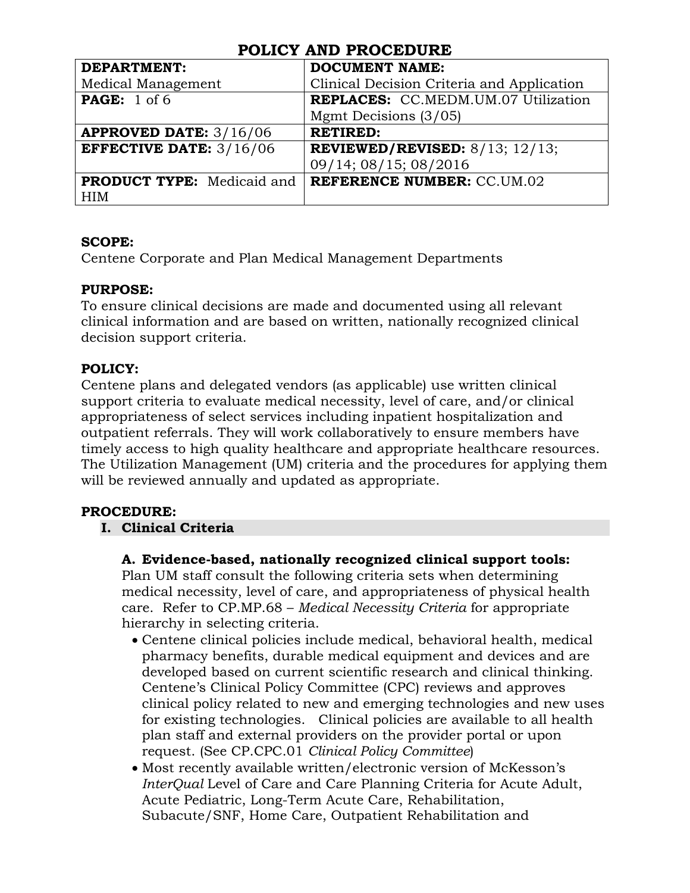| I ODICI AND I KOCODOKD                      |  |  |
|---------------------------------------------|--|--|
| <b>DOCUMENT NAME:</b>                       |  |  |
| Clinical Decision Criteria and Application  |  |  |
| <b>REPLACES:</b> CC.MEDM.UM.07 Utilization  |  |  |
| Mgmt Decisions (3/05)                       |  |  |
| <b>RETIRED:</b>                             |  |  |
| <b>REVIEWED/REVISED:</b> $8/13$ ; $12/13$ ; |  |  |
| 09/14; 08/15; 08/2016                       |  |  |
| <b>REFERENCE NUMBER: CC.UM.02</b>           |  |  |
|                                             |  |  |
|                                             |  |  |

## **SCOPE:**

Centene Corporate and Plan Medical Management Departments

## **PURPOSE:**

To ensure clinical decisions are made and documented using all relevant clinical information and are based on written, nationally recognized clinical decision support criteria.

## **POLICY:**

Centene plans and delegated vendors (as applicable) use written clinical support criteria to evaluate medical necessity, level of care, and/or clinical appropriateness of select services including inpatient hospitalization and outpatient referrals. They will work collaboratively to ensure members have timely access to high quality healthcare and appropriate healthcare resources. The Utilization Management (UM) criteria and the procedures for applying them will be reviewed annually and updated as appropriate.

## **PROCEDURE:**

## **I. Clinical Criteria**

## **A. Evidence-based, nationally recognized clinical support tools:**

Plan UM staff consult the following criteria sets when determining medical necessity, level of care, and appropriateness of physical health care. Refer to CP.MP.68 – *Medical Necessity Criteria* for appropriate hierarchy in selecting criteria.

- Centene clinical policies include medical, behavioral health, medical pharmacy benefits, durable medical equipment and devices and are developed based on current scientific research and clinical thinking. Centene's Clinical Policy Committee (CPC) reviews and approves clinical policy related to new and emerging technologies and new uses for existing technologies. Clinical policies are available to all health plan staff and external providers on the provider portal or upon request. (See CP.CPC.01 *Clinical Policy Committee*)
- Most recently available written/electronic version of McKesson's *InterQual* Level of Care and Care Planning Criteria for Acute Adult, Acute Pediatric, Long-Term Acute Care, Rehabilitation, Subacute/SNF, Home Care, Outpatient Rehabilitation and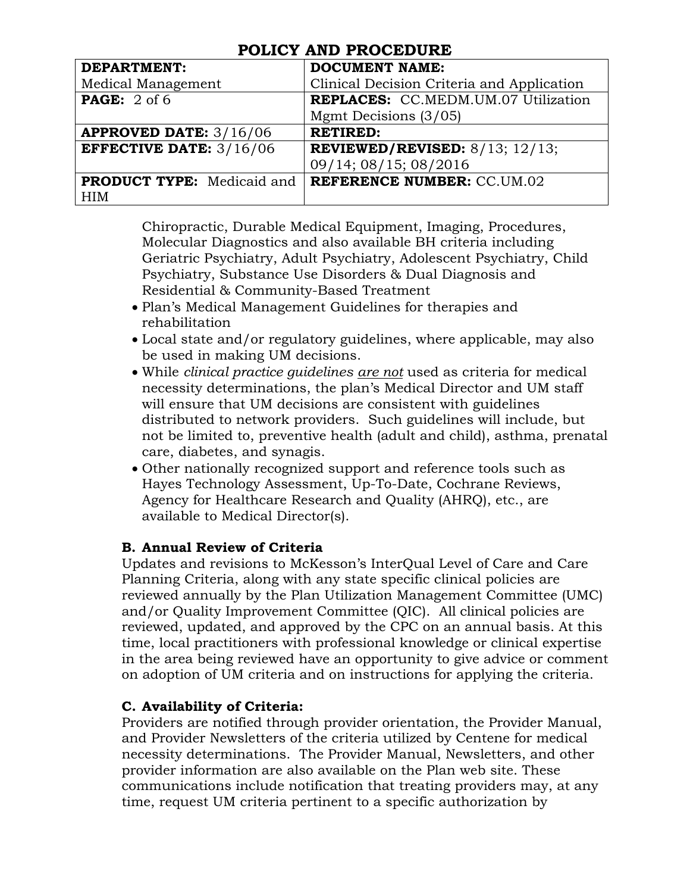| TODIOI AND TROODDORD              |                                             |  |  |
|-----------------------------------|---------------------------------------------|--|--|
| <b>DEPARTMENT:</b>                | <b>DOCUMENT NAME:</b>                       |  |  |
| Medical Management                | Clinical Decision Criteria and Application  |  |  |
| <b>PAGE:</b> $2$ of 6             | <b>REPLACES:</b> CC.MEDM.UM.07 Utilization  |  |  |
|                                   | Mgmt Decisions (3/05)                       |  |  |
| <b>APPROVED DATE: 3/16/06</b>     | <b>RETIRED:</b>                             |  |  |
| <b>EFFECTIVE DATE:</b> $3/16/06$  | <b>REVIEWED/REVISED:</b> $8/13$ ; $12/13$ ; |  |  |
|                                   | 09/14; 08/15; 08/2016                       |  |  |
| <b>PRODUCT TYPE:</b> Medicaid and | <b>REFERENCE NUMBER: CC.UM.02</b>           |  |  |
| <b>HIM</b>                        |                                             |  |  |

Chiropractic, Durable Medical Equipment, Imaging, Procedures, Molecular Diagnostics and also available BH criteria including Geriatric Psychiatry, Adult Psychiatry, Adolescent Psychiatry, Child Psychiatry, Substance Use Disorders & Dual Diagnosis and Residential & Community-Based Treatment

- Plan's Medical Management Guidelines for therapies and rehabilitation
- Local state and/or regulatory guidelines, where applicable, may also be used in making UM decisions.
- While *clinical practice guidelines are not* used as criteria for medical necessity determinations, the plan's Medical Director and UM staff will ensure that UM decisions are consistent with guidelines distributed to network providers. Such guidelines will include, but not be limited to, preventive health (adult and child), asthma, prenatal care, diabetes, and synagis.
- Other nationally recognized support and reference tools such as Hayes Technology Assessment, Up-To-Date, Cochrane Reviews, Agency for Healthcare Research and Quality (AHRQ), etc., are available to Medical Director(s).

## **B. Annual Review of Criteria**

Updates and revisions to McKesson's InterQual Level of Care and Care Planning Criteria, along with any state specific clinical policies are reviewed annually by the Plan Utilization Management Committee (UMC) and/or Quality Improvement Committee (QIC). All clinical policies are reviewed, updated, and approved by the CPC on an annual basis. At this time, local practitioners with professional knowledge or clinical expertise in the area being reviewed have an opportunity to give advice or comment on adoption of UM criteria and on instructions for applying the criteria.

## **C. Availability of Criteria:**

Providers are notified through provider orientation, the Provider Manual, and Provider Newsletters of the criteria utilized by Centene for medical necessity determinations. The Provider Manual, Newsletters, and other provider information are also available on the Plan web site. These communications include notification that treating providers may, at any time, request UM criteria pertinent to a specific authorization by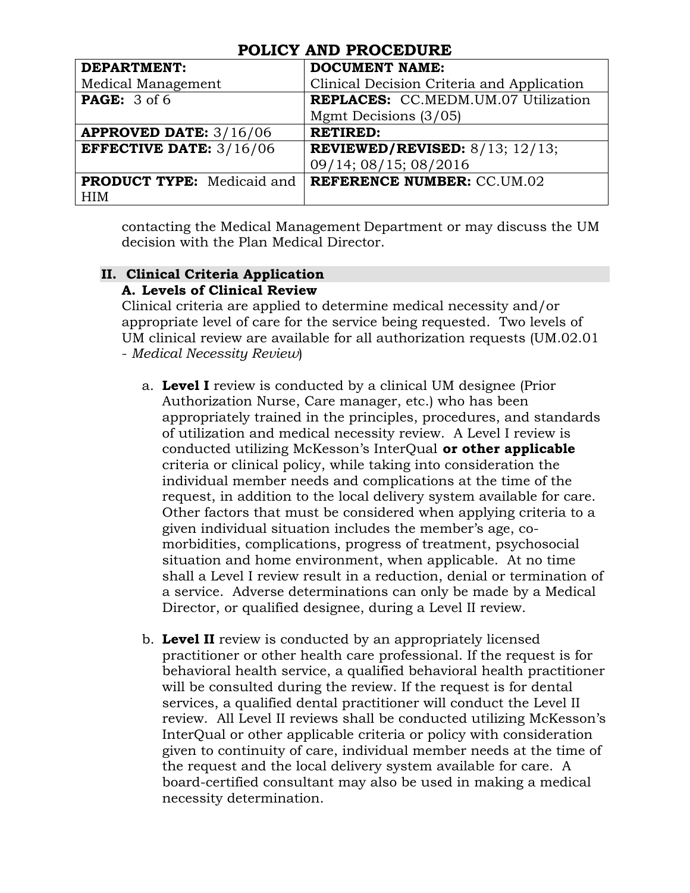| I ODIOI IIND I KOODDOKD           |                                            |  |  |
|-----------------------------------|--------------------------------------------|--|--|
| <b>DEPARTMENT:</b>                | <b>DOCUMENT NAME:</b>                      |  |  |
| Medical Management                | Clinical Decision Criteria and Application |  |  |
| <b>PAGE:</b> 3 of 6               | <b>REPLACES:</b> CC.MEDM.UM.07 Utilization |  |  |
|                                   | Mgmt Decisions (3/05)                      |  |  |
| <b>APPROVED DATE: 3/16/06</b>     | <b>RETIRED:</b>                            |  |  |
| <b>EFFECTIVE DATE:</b> $3/16/06$  | REVIEWED/REVISED: $8/13$ ; $12/13$ ;       |  |  |
|                                   | 09/14; 08/15; 08/2016                      |  |  |
| <b>PRODUCT TYPE:</b> Medicaid and | <b>REFERENCE NUMBER: CC.UM.02</b>          |  |  |
| <b>HIM</b>                        |                                            |  |  |

contacting the Medical Management Department or may discuss the UM decision with the Plan Medical Director.

#### **II. Clinical Criteria Application A. Levels of Clinical Review**

Clinical criteria are applied to determine medical necessity and/or appropriate level of care for the service being requested. Two levels of UM clinical review are available for all authorization requests (UM.02.01 - *Medical Necessity Review*)

- a. **Level I** review is conducted by a clinical UM designee (Prior Authorization Nurse, Care manager, etc.) who has been appropriately trained in the principles, procedures, and standards of utilization and medical necessity review. A Level I review is conducted utilizing McKesson's InterQual **or other applicable** criteria or clinical policy, while taking into consideration the individual member needs and complications at the time of the request, in addition to the local delivery system available for care. Other factors that must be considered when applying criteria to a given individual situation includes the member's age, comorbidities, complications, progress of treatment, psychosocial situation and home environment, when applicable. At no time shall a Level I review result in a reduction, denial or termination of a service. Adverse determinations can only be made by a Medical Director, or qualified designee, during a Level II review.
- b. **Level II** review is conducted by an appropriately licensed practitioner or other health care professional. If the request is for behavioral health service, a qualified behavioral health practitioner will be consulted during the review. If the request is for dental services, a qualified dental practitioner will conduct the Level II review. All Level II reviews shall be conducted utilizing McKesson's InterQual or other applicable criteria or policy with consideration given to continuity of care, individual member needs at the time of the request and the local delivery system available for care. A board-certified consultant may also be used in making a medical necessity determination.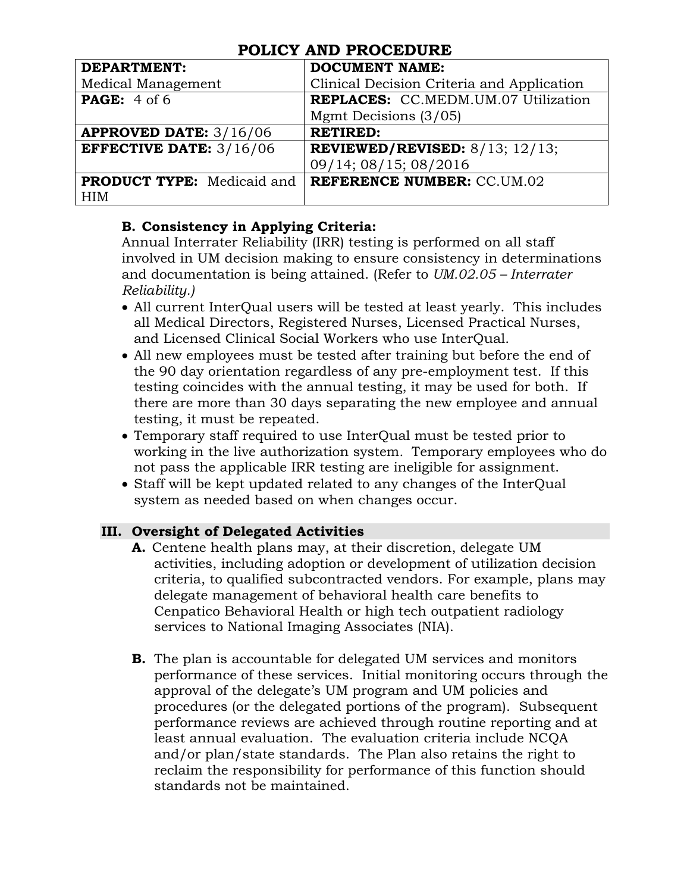| <b>DEPARTMENT:</b>                | <b>DOCUMENT NAME:</b>                       |
|-----------------------------------|---------------------------------------------|
| Medical Management                | Clinical Decision Criteria and Application  |
| <b>PAGE:</b> 4 of 6               | REPLACES: CC.MEDM.UM.07 Utilization         |
|                                   | Mgmt Decisions (3/05)                       |
| <b>APPROVED DATE: 3/16/06</b>     | <b>RETIRED:</b>                             |
| <b>EFFECTIVE DATE:</b> $3/16/06$  | <b>REVIEWED/REVISED:</b> $8/13$ ; $12/13$ ; |
|                                   | 09/14; 08/15; 08/2016                       |
| <b>PRODUCT TYPE:</b> Medicaid and | <b>REFERENCE NUMBER: CC.UM.02</b>           |
| <b>HIM</b>                        |                                             |

## **B. Consistency in Applying Criteria:**

Annual Interrater Reliability (IRR) testing is performed on all staff involved in UM decision making to ensure consistency in determinations and documentation is being attained. (Refer to *UM.02.05 – Interrater Reliability.)*

- All current InterQual users will be tested at least yearly. This includes all Medical Directors, Registered Nurses, Licensed Practical Nurses, and Licensed Clinical Social Workers who use InterQual.
- All new employees must be tested after training but before the end of the 90 day orientation regardless of any pre-employment test. If this testing coincides with the annual testing, it may be used for both. If there are more than 30 days separating the new employee and annual testing, it must be repeated.
- Temporary staff required to use InterQual must be tested prior to working in the live authorization system*.* Temporary employees who do not pass the applicable IRR testing are ineligible for assignment.
- Staff will be kept updated related to any changes of the InterQual system as needed based on when changes occur.

## **III. Oversight of Delegated Activities**

- **A.** Centene health plans may, at their discretion, delegate UM activities, including adoption or development of utilization decision criteria, to qualified subcontracted vendors. For example, plans may delegate management of behavioral health care benefits to Cenpatico Behavioral Health or high tech outpatient radiology services to National Imaging Associates (NIA).
- **B.** The plan is accountable for delegated UM services and monitors performance of these services. Initial monitoring occurs through the approval of the delegate's UM program and UM policies and procedures (or the delegated portions of the program). Subsequent performance reviews are achieved through routine reporting and at least annual evaluation. The evaluation criteria include NCQA and/or plan/state standards. The Plan also retains the right to reclaim the responsibility for performance of this function should standards not be maintained.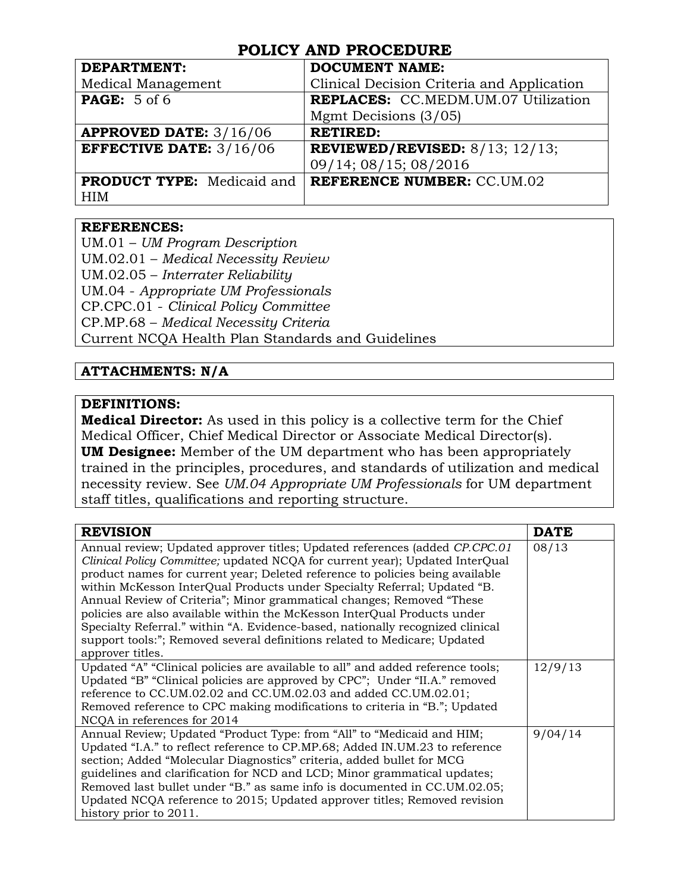| <b>DEPARTMENT:</b>                | <b>DOCUMENT NAME:</b>                       |
|-----------------------------------|---------------------------------------------|
| Medical Management                | Clinical Decision Criteria and Application  |
| <b>PAGE:</b> 5 of 6               | <b>REPLACES:</b> CC.MEDM.UM.07 Utilization  |
|                                   | Mgmt Decisions (3/05)                       |
| <b>APPROVED DATE: 3/16/06</b>     | <b>RETIRED:</b>                             |
| <b>EFFECTIVE DATE:</b> $3/16/06$  | <b>REVIEWED/REVISED:</b> $8/13$ ; $12/13$ ; |
|                                   | 09/14; 08/15; 08/2016                       |
| <b>PRODUCT TYPE:</b> Medicaid and | <b>REFERENCE NUMBER: CC.UM.02</b>           |
| <b>HIM</b>                        |                                             |

## **REFERENCES:**

UM.01 – *UM Program Description* UM.02.01 – *Medical Necessity Review* UM.02.05 – *Interrater Reliability* UM.04 - *Appropriate UM Professionals* CP.CPC.01 - *Clinical Policy Committee* CP.MP.68 – *Medical Necessity Criteria* Current NCQA Health Plan Standards and Guidelines

## **ATTACHMENTS: N/A**

### **DEFINITIONS:**

**Medical Director:** As used in this policy is a collective term for the Chief Medical Officer, Chief Medical Director or Associate Medical Director(s). **UM Designee:** Member of the UM department who has been appropriately trained in the principles, procedures, and standards of utilization and medical necessity review. See *UM.04 Appropriate UM Professionals* for UM department staff titles, qualifications and reporting structure.

| <b>REVISION</b>                                                                 | <b>DATE</b> |
|---------------------------------------------------------------------------------|-------------|
| Annual review; Updated approver titles; Updated references (added CP.CPC.01)    | 08/13       |
| Clinical Policy Committee; updated NCQA for current year); Updated InterQual    |             |
| product names for current year; Deleted reference to policies being available   |             |
| within McKesson InterQual Products under Specialty Referral; Updated "B.        |             |
| Annual Review of Criteria"; Minor grammatical changes; Removed "These           |             |
| policies are also available within the McKesson InterQual Products under        |             |
| Specialty Referral." within "A. Evidence-based, nationally recognized clinical  |             |
| support tools:"; Removed several definitions related to Medicare; Updated       |             |
| approver titles.                                                                |             |
| Updated "A" "Clinical policies are available to all" and added reference tools; | 12/9/13     |
| Updated "B" "Clinical policies are approved by CPC"; Under "II.A." removed      |             |
| reference to CC.UM.02.02 and CC.UM.02.03 and added CC.UM.02.01;                 |             |
| Removed reference to CPC making modifications to criteria in "B."; Updated      |             |
| NCQA in references for 2014                                                     |             |
| Annual Review; Updated "Product Type: from "All" to "Medicaid and HIM;          | 9/04/14     |
| Updated "I.A." to reflect reference to CP.MP.68; Added IN.UM.23 to reference    |             |
| section; Added "Molecular Diagnostics" criteria, added bullet for MCG           |             |
| guidelines and clarification for NCD and LCD; Minor grammatical updates;        |             |
| Removed last bullet under "B." as same info is documented in CC.UM.02.05;       |             |
| Updated NCQA reference to 2015; Updated approver titles; Removed revision       |             |
| history prior to 2011.                                                          |             |